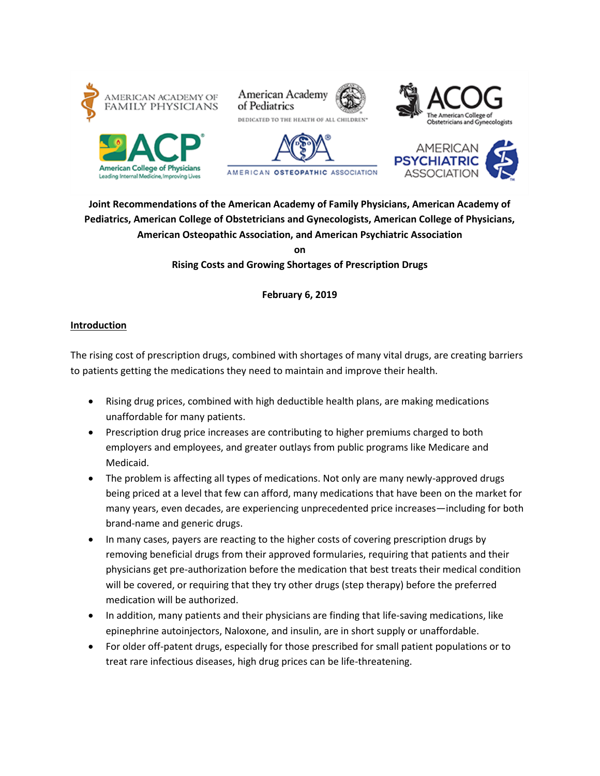









## **Joint Recommendations of the American Academy of Family Physicians, American Academy of Pediatrics, American College of Obstetricians and Gynecologists, American College of Physicians, American Osteopathic Association, and American Psychiatric Association on**

**Rising Costs and Growing Shortages of Prescription Drugs**

**February 6, 2019**

## **Introduction**

The rising cost of prescription drugs, combined with shortages of many vital drugs, are creating barriers to patients getting the medications they need to maintain and improve their health.

- Rising drug prices, combined with high deductible health plans, are making medications unaffordable for many patients.
- Prescription drug price increases are contributing to higher premiums charged to both employers and employees, and greater outlays from public programs like Medicare and Medicaid.
- The problem is affecting all types of medications. Not only are many newly-approved drugs being priced at a level that few can afford, many medications that have been on the market for many years, even decades, are experiencing unprecedented price increases—including for both brand-name and generic drugs.
- In many cases, payers are reacting to the higher costs of covering prescription drugs by removing beneficial drugs from their approved formularies, requiring that patients and their physicians get pre-authorization before the medication that best treats their medical condition will be covered, or requiring that they try other drugs (step therapy) before the preferred medication will be authorized.
- In addition, many patients and their physicians are finding that life-saving medications, like epinephrine autoinjectors, Naloxone, and insulin, are in short supply or unaffordable.
- For older off-patent drugs, especially for those prescribed for small patient populations or to treat rare infectious diseases, high drug prices can be life-threatening.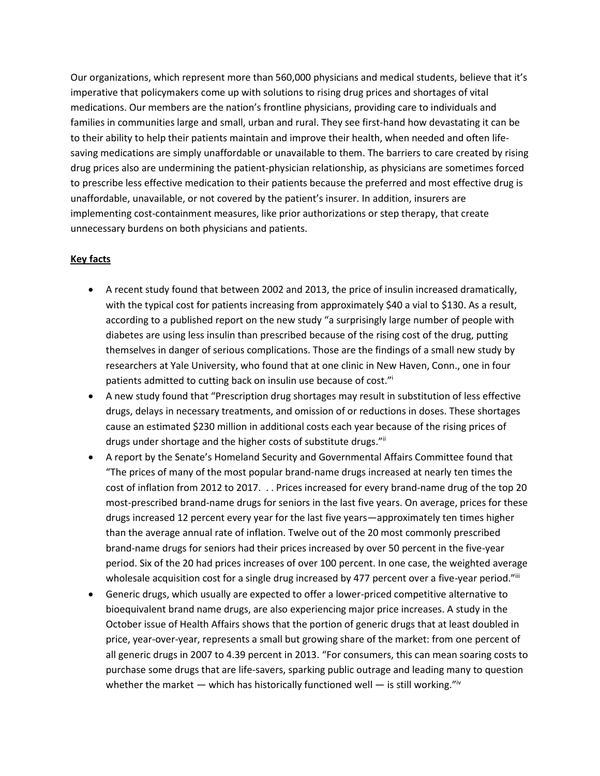Our organizations, which represent more than 560,000 physicians and medical students, believe that it's imperative that policymakers come up with solutions to rising drug prices and shortages of vital medications. Our members are the nation's frontline physicians, providing care to individuals and families in communities large and small, urban and rural. They see first-hand how devastating it can be to their ability to help their patients maintain and improve their health, when needed and often lifesaving medications are simply unaffordable or unavailable to them. The barriers to care created by rising drug prices also are undermining the patient-physician relationship, as physicians are sometimes forced to prescribe less effective medication to their patients because the preferred and most effective drug is unaffordable, unavailable, or not covered by the patient's insurer. In addition, insurers are implementing cost-containment measures, like prior authorizations or step therapy, that create unnecessary burdens on both physicians and patients.

## **Key facts**

- A recent study found that between 2002 and 2013, the price of insulin increased dramatically, with the typical cost for patients increasing from approximately \$40 a vial to \$130. As a result, according to a published report on the new study "a surprisingly large number of people with diabetes are using less insulin than prescribed because of the rising cost of the drug, putting themselves in danger of serious complications. Those are the findings of a small new study by researchers at Yale University, who found that at one clinic in New Haven, Conn., one in four patients admitted to cutting back on insulin use because of cost."<sup>1</sup>
- A new study found that "Prescription drug shortages may result in substitution of less effective drugs, delays in necessary treatments, and omission of or reductions in doses. These shortages cause an estimated \$230 million in additional costs each year because of the rising prices of drugs under shortage and the higher costs of substitute drugs."ii
- A report by the Senate's Homeland Security and Governmental Affairs Committee found that "The prices of many of the most popular brand-name drugs increased at nearly ten times the cost of inflation from 2012 to 2017. . . Prices increased for every brand-name drug of the top 20 most-prescribed brand-name drugs for seniors in the last five years. On average, prices for these drugs increased 12 percent every year for the last five years—approximately ten times higher than the average annual rate of inflation. Twelve out of the 20 most commonly prescribed brand-name drugs for seniors had their prices increased by over 50 percent in the five-year period. Six of the 20 had prices increases of over 100 percent. In one case, the weighted average wholesale acquisition cost for a single drug increased by 477 percent over a five-year period."<sup>iii</sup>
- Generic drugs, which usually are expected to offer a lower-priced competitive alternative to bioequivalent brand name drugs, are also experiencing major price increases. A study in the October issue of Health Affairs shows that the portion of generic drugs that at least doubled in price, year-over-year, represents a small but growing share of the market: from one percent of all generic drugs in 2007 to 4.39 percent in 2013. "For consumers, this can mean soaring costs to purchase some drugs that are life-savers, sparking public outrage and leading many to question whether the market — which has historically functioned well — is still working." $iv$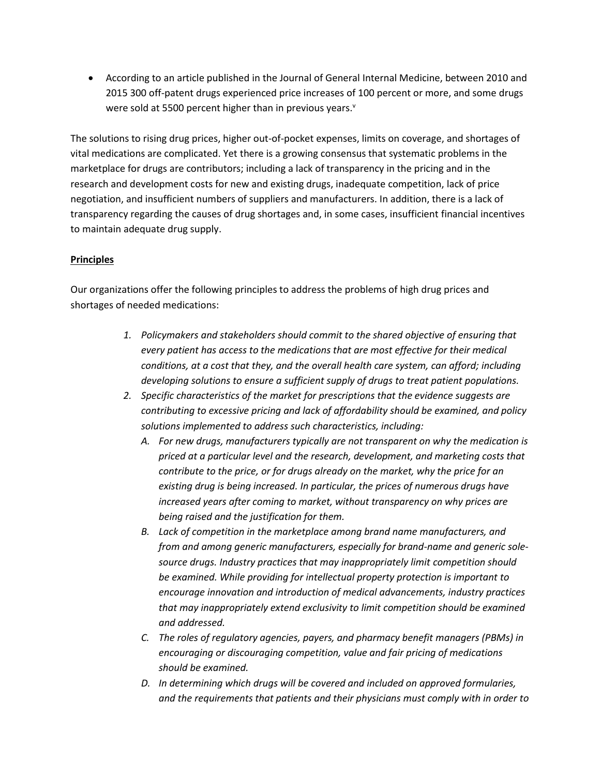According to an article published in the Journal of General Internal Medicine, between 2010 and 2015 300 off-patent drugs experienced price increases of 100 percent or more, and some drugs were sold at 5500 percent higher than in previous years.<sup>v</sup>

The solutions to rising drug prices, higher out-of-pocket expenses, limits on coverage, and shortages of vital medications are complicated. Yet there is a growing consensus that systematic problems in the marketplace for drugs are contributors; including a lack of transparency in the pricing and in the research and development costs for new and existing drugs, inadequate competition, lack of price negotiation, and insufficient numbers of suppliers and manufacturers. In addition, there is a lack of transparency regarding the causes of drug shortages and, in some cases, insufficient financial incentives to maintain adequate drug supply.

## **Principles**

Our organizations offer the following principles to address the problems of high drug prices and shortages of needed medications:

- *1. Policymakers and stakeholders should commit to the shared objective of ensuring that every patient has access to the medications that are most effective for their medical conditions, at a cost that they, and the overall health care system, can afford; including developing solutions to ensure a sufficient supply of drugs to treat patient populations.*
- *2. Specific characteristics of the market for prescriptions that the evidence suggests are contributing to excessive pricing and lack of affordability should be examined, and policy solutions implemented to address such characteristics, including:*
	- *A. For new drugs, manufacturers typically are not transparent on why the medication is priced at a particular level and the research, development, and marketing costs that contribute to the price, or for drugs already on the market, why the price for an existing drug is being increased. In particular, the prices of numerous drugs have increased years after coming to market, without transparency on why prices are being raised and the justification for them.*
	- *B. Lack of competition in the marketplace among brand name manufacturers, and from and among generic manufacturers, especially for brand-name and generic solesource drugs. Industry practices that may inappropriately limit competition should be examined. While providing for intellectual property protection is important to encourage innovation and introduction of medical advancements, industry practices that may inappropriately extend exclusivity to limit competition should be examined and addressed.*
	- *C. The roles of regulatory agencies, payers, and pharmacy benefit managers (PBMs) in encouraging or discouraging competition, value and fair pricing of medications should be examined.*
	- *D. In determining which drugs will be covered and included on approved formularies, and the requirements that patients and their physicians must comply with in order to*